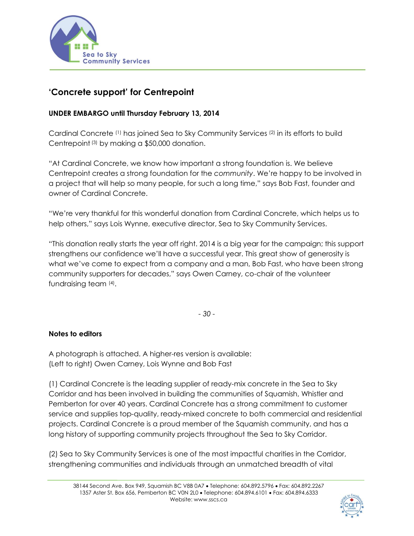

## **'Concrete support' for Centrepoint**

## **UNDER EMBARGO until Thursday February 13, 2014**

Cardinal Concrete (1) has joined Sea to Sky Community Services (2) in its efforts to build Centrepoint (3) by making a \$50,000 donation.

"At Cardinal Concrete, we know how important a strong foundation is. We believe Centrepoint creates a strong foundation for the *community*. We're happy to be involved in a project that will help so many people, for such a long time," says Bob Fast, founder and owner of Cardinal Concrete.

"We're very thankful for this wonderful donation from Cardinal Concrete, which helps us to help others," says Lois Wynne, executive director, Sea to Sky Community Services.

"This donation really starts the year off right. 2014 is a big year for the campaign; this support strengthens our confidence we'll have a successful year. This great show of generosity is what we've come to expect from a company and a man, Bob Fast, who have been strong community supporters for decades," says Owen Carney, co-chair of the volunteer fundraising team (4).

*- 30 -*

## **Notes to editors**

A photograph is attached. A higher-res version is available: (Left to right) Owen Carney, Lois Wynne and Bob Fast

(1) Cardinal Concrete is the leading supplier of ready-mix concrete in the Sea to Sky Corridor and has been involved in building the communities of Squamish, Whistler and Pemberton for over 40 years. Cardinal Concrete has a strong commitment to customer service and supplies top-quality, ready-mixed concrete to both commercial and residential projects. Cardinal Concrete is a proud member of the Squamish community, and has a long history of supporting community projects throughout the Sea to Sky Corridor.

(2) Sea to Sky Community Services is one of the most impactful charities in the Corridor, strengthening communities and individuals through an unmatched breadth of vital